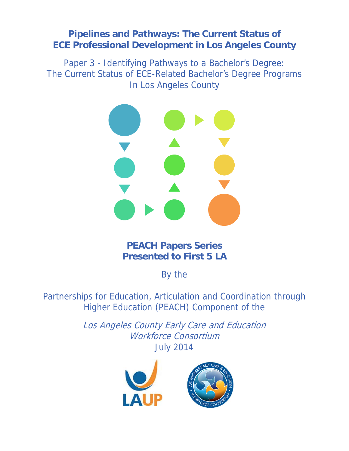# **Pipelines and Pathways: The Current Status of ECE Professional Development in Los Angeles County**

Paper 3 - Identifying Pathways to a Bachelor's Degree: The Current Status of ECE-Related Bachelor's Degree Programs In Los Angeles County



# **PEACH Papers Series Presented to First 5 LA**

By the

Partnerships for Education, Articulation and Coordination through Higher Education (PEACH) Component of the

> Los Angeles County Early Care and Education Workforce Consortium July 2014

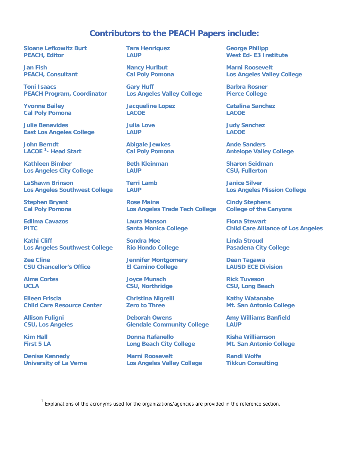# **Contributors to the PEACH Papers include:**

**Sloane Lefkowitz Burt PEACH, Editor** 

**Jan Fish PEACH, Consultant** 

**Toni Isaacs PEACH Program, Coordinator** 

**Yvonne Bailey Cal Poly Pomona** 

**Julie Benavides East Los Angeles College** 

**John Berndt LACOE 1 - Head Start** 

**Kathleen Bimber Los Angeles City College** 

**LaShawn Brinson Los Angeles Southwest College** 

**Stephen Bryant Cal Poly Pomona** 

**Edilma Cavazos PITC** 

**Kathi Cliff Los Angeles Southwest College** 

**Zee Cline CSU Chancellor's Office** 

**Alma Cortes UCLA** 

**Eileen Friscia Child Care Resource Center** 

**Allison Fuligni CSU, Los Angeles** 

**Kim Hall First 5 LA** 

 $\overline{a}$ 

**Denise Kennedy University of La Verne**  **Tara Henriquez LAUP** 

**Nancy Hurlbut Cal Poly Pomona** 

**Gary Huff Los Angeles Valley College** 

**Jacqueline Lopez LACOE** 

**Julia Love LAUP** 

**Abigale Jewkes Cal Poly Pomona** 

**Beth Kleinman LAUP** 

**Terri Lamb LAUP** 

**Rose Maina Los Angeles Trade Tech College** 

**Laura Manson Santa Monica College** 

**Sondra Moe Rio Hondo College** 

**Jennifer Montgomery El Camino College** 

**Joyce Munsch CSU, Northridge** 

**Christina Nigrelli Zero to Three** 

**Deborah Owens Glendale Community College** 

**Donna Rafanello Long Beach City College** 

**Marni Roosevelt Los Angeles Valley College** 

**George Philipp West Ed- E3 Institute** 

**Marni Roosevelt Los Angeles Valley College** 

**Barbra Rosner Pierce College** 

**Catalina Sanchez LACOE** 

**Judy Sanchez LACOE** 

**Ande Sanders Antelope Valley College** 

**Sharon Seidman CSU, Fullerton** 

**Janice Silver Los Angeles Mission College** 

**Cindy Stephens College of the Canyons** 

**Fiona Stewart Child Care Alliance of Los Angeles** 

**Linda Stroud Pasadena City College** 

**Dean Tagawa LAUSD ECE Division** 

**Rick Tuveson CSU, Long Beach** 

**Kathy Watanabe Mt. San Antonio College** 

**Amy Williams Banfield LAUP** 

**Kisha Williamson Mt. San Antonio College** 

**Randi Wolfe Tikkun Consulting** 

Explanations of the acronyms used for the organizations/agencies are provided in the reference section.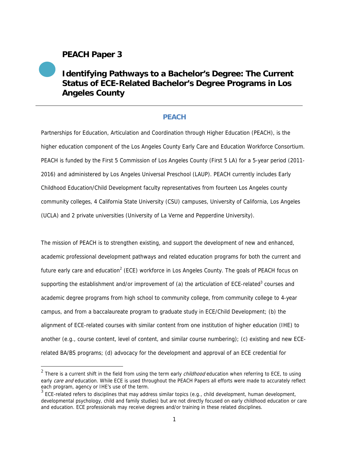# **PEACH Paper 3**

 $\overline{a}$ 

# **Identifying Pathways to a Bachelor's Degree: The Current Status of ECE-Related Bachelor's Degree Programs in Los Angeles County**

# **PEACH**

Partnerships for Education, Articulation and Coordination through Higher Education (PEACH), is the higher education component of the Los Angeles County Early Care and Education Workforce Consortium. PEACH is funded by the First 5 Commission of Los Angeles County (First 5 LA) for a 5-year period (2011- 2016) and administered by Los Angeles Universal Preschool (LAUP). PEACH currently includes Early Childhood Education/Child Development faculty representatives from fourteen Los Angeles county community colleges, 4 California State University (CSU) campuses, University of California, Los Angeles (UCLA) and 2 private universities (University of La Verne and Pepperdine University).

The mission of PEACH is to strengthen existing, and support the development of new and enhanced, academic professional development pathways and related education programs for both the current and future early care and education<sup>2</sup> (ECE) workforce in Los Angeles County. The goals of PEACH focus on supporting the establishment and/or improvement of (a) the articulation of ECE-related<sup>3</sup> courses and academic degree programs from high school to community college, from community college to 4-year campus, and from a baccalaureate program to graduate study in ECE/Child Development; (b) the alignment of ECE-related courses with similar content from one institution of higher education (IHE) to another (e.g., course content, level of content, and similar course numbering); (c) existing and new ECErelated BA/BS programs; (d) advocacy for the development and approval of an ECE credential for

 $2$  There is a current shift in the field from using the term early *childhood* education when referring to ECE, to using early care and education. While ECE is used throughout the PEACH Papers all efforts were made to accurately reflect each program, agency or IHE's use of the term.

 $3$  ECE-related refers to disciplines that may address similar topics (e.g., child development, human development, developmental psychology, child and family studies) but are not directly focused on early childhood education or care and education. ECE professionals may receive degrees and/or training in these related disciplines.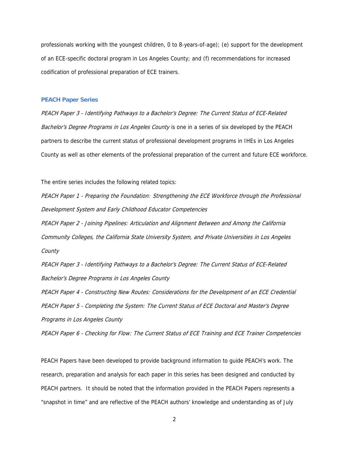professionals working with the youngest children, 0 to 8-years-of-age); (e) support for the development of an ECE-specific doctoral program in Los Angeles County; and (f) recommendations for increased codification of professional preparation of ECE trainers.

#### **PEACH Paper Series**

PEACH Paper 3 - Identifying Pathways to a Bachelor's Degree: The Current Status of ECE-Related Bachelor's Degree Programs in Los Angeles County is one in a series of six developed by the PEACH partners to describe the current status of professional development programs in IHEs in Los Angeles County as well as other elements of the professional preparation of the current and future ECE workforce.

The entire series includes the following related topics:

PEACH Paper 1 - Preparing the Foundation: Strengthening the ECE Workforce through the Professional Development System and Early Childhood Educator Competencies

PEACH Paper 2 - Joining Pipelines: Articulation and Alignment Between and Among the California Community Colleges, the California State University System, and Private Universities in Los Angeles **County** 

PEACH Paper 3 - Identifying Pathways to a Bachelor's Degree: The Current Status of ECE-Related Bachelor's Degree Programs in Los Angeles County

PEACH Paper 4 - Constructing New Routes: Considerations for the Development of an ECE Credential PEACH Paper 5 - Completing the System: The Current Status of ECE Doctoral and Master's Degree Programs in Los Angeles County

PEACH Paper 6 - Checking for Flow: The Current Status of ECE Training and ECE Trainer Competencies

PEACH Papers have been developed to provide background information to guide PEACH's work. The research, preparation and analysis for each paper in this series has been designed and conducted by PEACH partners. It should be noted that the information provided in the PEACH Papers represents a "snapshot in time" and are reflective of the PEACH authors' knowledge and understanding as of July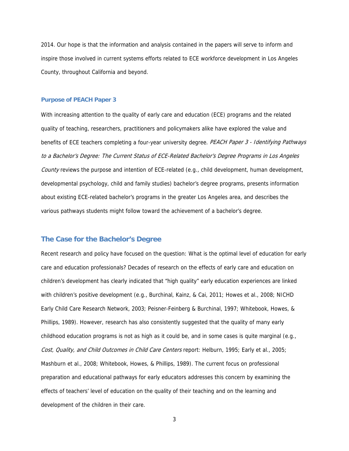2014. Our hope is that the information and analysis contained in the papers will serve to inform and inspire those involved in current systems efforts related to ECE workforce development in Los Angeles County, throughout California and beyond.

#### **Purpose of PEACH Paper 3**

With increasing attention to the quality of early care and education (ECE) programs and the related quality of teaching, researchers, practitioners and policymakers alike have explored the value and benefits of ECE teachers completing a four-year university degree. PEACH Paper 3 - Identifying Pathways to a Bachelor's Degree: The Current Status of ECE-Related Bachelor's Degree Programs in Los Angeles County reviews the purpose and intention of ECE-related (e.g., child development, human development, developmental psychology, child and family studies) bachelor's degree programs, presents information about existing ECE-related bachelor's programs in the greater Los Angeles area, and describes the various pathways students might follow toward the achievement of a bachelor's degree.

#### **The Case for the Bachelor's Degree**

Recent research and policy have focused on the question: What is the optimal level of education for early care and education professionals? Decades of research on the effects of early care and education on children's development has clearly indicated that "high quality" early education experiences are linked with children's positive development (e.g., Burchinal, Kainz, & Cai, 2011; Howes et al., 2008; NICHD Early Child Care Research Network, 2003; Peisner-Feinberg & Burchinal, 1997; Whitebook, Howes, & Phillips, 1989). However, research has also consistently suggested that the quality of many early childhood education programs is not as high as it could be, and in some cases is quite marginal (e.g., Cost, Quality, and Child Outcomes in Child Care Centers report: Helburn, 1995; Early et al., 2005; Mashburn et al., 2008; Whitebook, Howes, & Phillips, 1989). The current focus on professional preparation and educational pathways for early educators addresses this concern by examining the effects of teachers' level of education on the quality of their teaching and on the learning and development of the children in their care.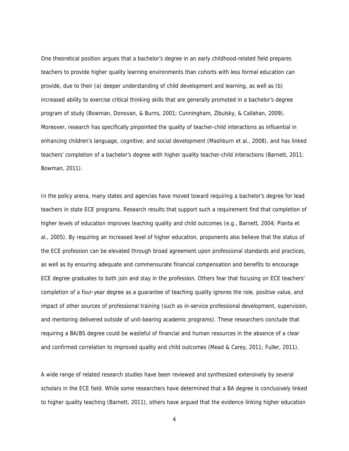One theoretical position argues that a bachelor's degree in an early childhood-related field prepares teachers to provide higher quality learning environments than cohorts with less formal education can provide, due to their (a) deeper understanding of child development and learning, as well as (b) increased ability to exercise critical thinking skills that are generally promoted in a bachelor's degree program of study (Bowman, Donovan, & Burns, 2001; Cunningham, Zibulsky, & Callahan, 2009). Moreover, research has specifically pinpointed the quality of teacher-child interactions as influential in enhancing children's language, cognitive, and social development (Mashburn et al., 2008), and has linked teachers' completion of a bachelor's degree with higher quality teacher-child interactions (Barnett, 2011; Bowman, 2011).

In the policy arena, many states and agencies have moved toward requiring a bachelor's degree for lead teachers in state ECE programs. Research results that support such a requirement find that completion of higher levels of education improves teaching quality and child outcomes (e.g., Barnett, 2004; Pianta et al., 2005). By requiring an increased level of higher education, proponents also believe that the status of the ECE profession can be elevated through broad agreement upon professional standards and practices, as well as by ensuring adequate and commensurate financial compensation and benefits to encourage ECE degree graduates to both join and stay in the profession. Others fear that focusing on ECE teachers' completion of a four-year degree as a guarantee of teaching quality ignores the role, positive value, and impact of other sources of professional training (such as in-service professional development, supervision, and mentoring delivered outside of unit-bearing academic programs). These researchers conclude that requiring a BA/BS degree could be wasteful of financial and human resources in the absence of a clear and confirmed correlation to improved quality and child outcomes (Mead & Carey, 2011; Fuller, 2011).

A wide range of related research studies have been reviewed and synthesized extensively by several scholars in the ECE field. While some researchers have determined that a BA degree is conclusively linked to higher quality teaching (Barnett, 2011), others have argued that the evidence linking higher education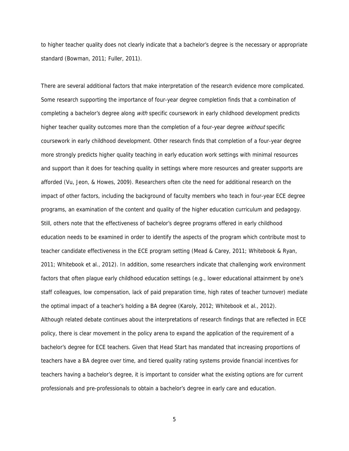to higher teacher quality does not clearly indicate that a bachelor's degree is the necessary or appropriate standard (Bowman, 2011; Fuller, 2011).

There are several additional factors that make interpretation of the research evidence more complicated. Some research supporting the importance of four-year degree completion finds that a combination of completing a bachelor's degree along *with* specific coursework in early childhood development predicts higher teacher quality outcomes more than the completion of a four-year degree *without* specific coursework in early childhood development. Other research finds that completion of a four-year degree more strongly predicts higher quality teaching in early education work settings with minimal resources and support than it does for teaching quality in settings where more resources and greater supports are afforded (Vu, Jeon, & Howes, 2009). Researchers often cite the need for additional research on the impact of other factors, including the background of faculty members who teach in four-year ECE degree programs, an examination of the content and quality of the higher education curriculum and pedagogy. Still, others note that the effectiveness of bachelor's degree programs offered in early childhood education needs to be examined in order to identify the aspects of the program which contribute most to teacher candidate effectiveness in the ECE program setting (Mead & Carey, 2011; Whitebook & Ryan, 2011; Whitebook et al., 2012). In addition, some researchers indicate that challenging work environment factors that often plague early childhood education settings (e.g., lower educational attainment by one's staff colleagues, low compensation, lack of paid preparation time, high rates of teacher turnover) mediate the optimal impact of a teacher's holding a BA degree (Karoly, 2012; Whitebook et al., 2012). Although related debate continues about the interpretations of research findings that are reflected in ECE policy, there is clear movement in the policy arena to expand the application of the requirement of a bachelor's degree for ECE teachers. Given that Head Start has mandated that increasing proportions of teachers have a BA degree over time, and tiered quality rating systems provide financial incentives for teachers having a bachelor's degree, it is important to consider what the existing options are for current professionals and pre-professionals to obtain a bachelor's degree in early care and education.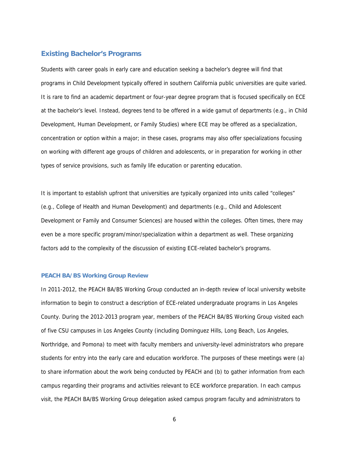# **Existing Bachelor's Programs**

Students with career goals in early care and education seeking a bachelor's degree will find that programs in Child Development typically offered in southern California public universities are quite varied. It is rare to find an academic department or four-year degree program that is focused specifically on ECE at the bachelor's level. Instead, degrees tend to be offered in a wide gamut of departments (e.g., in Child Development, Human Development, or Family Studies) where ECE may be offered as a specialization, concentration or option within a major; in these cases, programs may also offer specializations focusing on working with different age groups of children and adolescents, or in preparation for working in other types of service provisions, such as family life education or parenting education.

It is important to establish upfront that universities are typically organized into units called "colleges" (e.g., College of Health and Human Development) and departments (e.g., Child and Adolescent Development or Family and Consumer Sciences) are housed within the colleges. Often times, there may even be a more specific program/minor/specialization within a department as well. These organizing factors add to the complexity of the discussion of existing ECE-related bachelor's programs.

#### **PEACH BA/BS Working Group Review**

In 2011-2012, the PEACH BA/BS Working Group conducted an in-depth review of local university website information to begin to construct a description of ECE-related undergraduate programs in Los Angeles County. During the 2012-2013 program year, members of the PEACH BA/BS Working Group visited each of five CSU campuses in Los Angeles County (including Dominguez Hills, Long Beach, Los Angeles, Northridge, and Pomona) to meet with faculty members and university-level administrators who prepare students for entry into the early care and education workforce. The purposes of these meetings were (a) to share information about the work being conducted by PEACH and (b) to gather information from each campus regarding their programs and activities relevant to ECE workforce preparation. In each campus visit, the PEACH BA/BS Working Group delegation asked campus program faculty and administrators to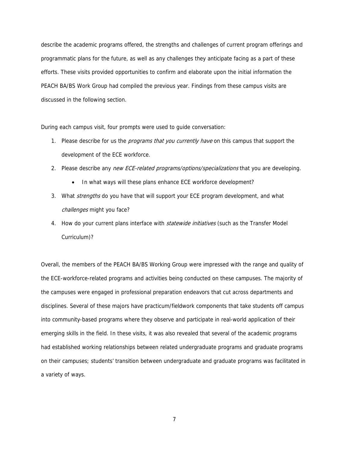describe the academic programs offered, the strengths and challenges of current program offerings and programmatic plans for the future, as well as any challenges they anticipate facing as a part of these efforts. These visits provided opportunities to confirm and elaborate upon the initial information the PEACH BA/BS Work Group had compiled the previous year. Findings from these campus visits are discussed in the following section.

During each campus visit, four prompts were used to guide conversation:

- 1. Please describe for us the *programs that you currently have* on this campus that support the development of the ECE workforce.
- 2. Please describe any new ECE-related programs/options/specializations that you are developing.
	- In what ways will these plans enhance ECE workforce development?
- 3. What *strengths* do you have that will support your ECE program development, and what challenges might you face?
- 4. How do your current plans interface with *statewide initiatives* (such as the Transfer Model Curriculum)?

Overall, the members of the PEACH BA/BS Working Group were impressed with the range and quality of the ECE-workforce-related programs and activities being conducted on these campuses. The majority of the campuses were engaged in professional preparation endeavors that cut across departments and disciplines. Several of these majors have practicum/fieldwork components that take students off campus into community-based programs where they observe and participate in real-world application of their emerging skills in the field. In these visits, it was also revealed that several of the academic programs had established working relationships between related undergraduate programs and graduate programs on their campuses; students' transition between undergraduate and graduate programs was facilitated in a variety of ways.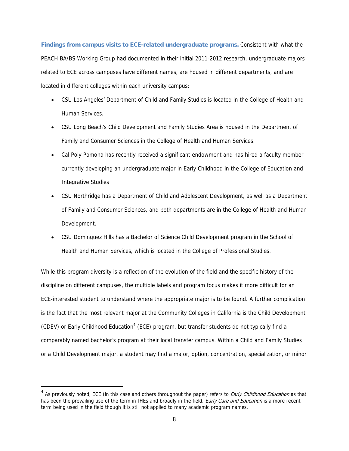**Findings from campus visits to ECE-related undergraduate programs.** Consistent with what the PEACH BA/BS Working Group had documented in their initial 2011-2012 research, undergraduate majors related to ECE across campuses have different names, are housed in different departments, and are located in different colleges within each university campus:

- CSU Los Angeles' Department of Child and Family Studies is located in the College of Health and Human Services.
- CSU Long Beach's Child Development and Family Studies Area is housed in the Department of Family and Consumer Sciences in the College of Health and Human Services.
- Cal Poly Pomona has recently received a significant endowment and has hired a faculty member currently developing an undergraduate major in Early Childhood in the College of Education and Integrative Studies
- CSU Northridge has a Department of Child and Adolescent Development, as well as a Department of Family and Consumer Sciences, and both departments are in the College of Health and Human Development.
- CSU Dominguez Hills has a Bachelor of Science Child Development program in the School of Health and Human Services, which is located in the College of Professional Studies.

While this program diversity is a reflection of the evolution of the field and the specific history of the discipline on different campuses, the multiple labels and program focus makes it more difficult for an ECE-interested student to understand where the appropriate major is to be found. A further complication is the fact that the most relevant major at the Community Colleges in California is the Child Development (CDEV) or Early Childhood Education<sup>4</sup> (ECE) program, but transfer students do not typically find a comparably named bachelor's program at their local transfer campus. Within a Child and Family Studies or a Child Development major, a student may find a major, option, concentration, specialization, or minor

 $\overline{a}$ 

<sup>&</sup>lt;sup>4</sup> As previously noted, ECE (in this case and others throughout the paper) refers to *Early Childhood Education* as that has been the prevailing use of the term in IHEs and broadly in the field. Early Care and Education is a more recent term being used in the field though it is still not applied to many academic program names.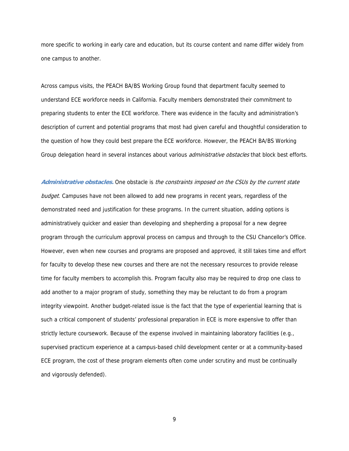more specific to working in early care and education, but its course content and name differ widely from one campus to another.

Across campus visits, the PEACH BA/BS Working Group found that department faculty seemed to understand ECE workforce needs in California. Faculty members demonstrated their commitment to preparing students to enter the ECE workforce. There was evidence in the faculty and administration's description of current and potential programs that most had given careful and thoughtful consideration to the question of how they could best prepare the ECE workforce. However, the PEACH BA/BS Working Group delegation heard in several instances about various *administrative obstacles* that block best efforts.

**Administrative obstacles.** One obstacle is the constraints imposed on the CSUs by the current state budget. Campuses have not been allowed to add new programs in recent years, regardless of the demonstrated need and justification for these programs. In the current situation, adding options is administratively quicker and easier than developing and shepherding a proposal for a new degree program through the curriculum approval process on campus and through to the CSU Chancellor's Office. However, even when new courses and programs are proposed and approved, it still takes time and effort for faculty to develop these new courses and there are not the necessary resources to provide release time for faculty members to accomplish this. Program faculty also may be required to drop one class to add another to a major program of study, something they may be reluctant to do from a program integrity viewpoint. Another budget-related issue is the fact that the type of experiential learning that is such a critical component of students' professional preparation in ECE is more expensive to offer than strictly lecture coursework. Because of the expense involved in maintaining laboratory facilities (e.g., supervised practicum experience at a campus-based child development center or at a community-based ECE program, the cost of these program elements often come under scrutiny and must be continually and vigorously defended).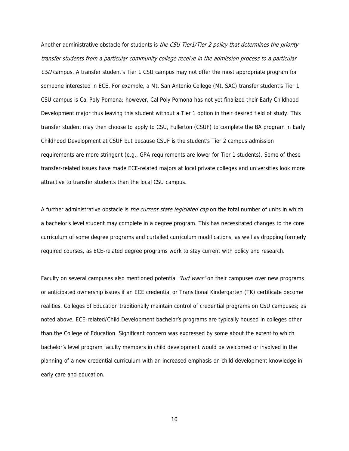Another administrative obstacle for students is the CSU Tier1/Tier 2 policy that determines the priority transfer students from a particular community college receive in the admission process to a particular CSU campus. A transfer student's Tier 1 CSU campus may not offer the most appropriate program for someone interested in ECE. For example, a Mt. San Antonio College (Mt. SAC) transfer student's Tier 1 CSU campus is Cal Poly Pomona; however, Cal Poly Pomona has not yet finalized their Early Childhood Development major thus leaving this student without a Tier 1 option in their desired field of study. This transfer student may then choose to apply to CSU, Fullerton (CSUF) to complete the BA program in Early Childhood Development at CSUF but because CSUF is the student's Tier 2 campus admission requirements are more stringent (e.g., GPA requirements are lower for Tier 1 students). Some of these transfer-related issues have made ECE-related majors at local private colleges and universities look more attractive to transfer students than the local CSU campus.

A further administrative obstacle is the current state legislated cap on the total number of units in which a bachelor's level student may complete in a degree program. This has necessitated changes to the core curriculum of some degree programs and curtailed curriculum modifications, as well as dropping formerly required courses, as ECE-related degree programs work to stay current with policy and research.

Faculty on several campuses also mentioned potential "turf wars" on their campuses over new programs or anticipated ownership issues if an ECE credential or Transitional Kindergarten (TK) certificate become realities. Colleges of Education traditionally maintain control of credential programs on CSU campuses; as noted above, ECE-related/Child Development bachelor's programs are typically housed in colleges other than the College of Education. Significant concern was expressed by some about the extent to which bachelor's level program faculty members in child development would be welcomed or involved in the planning of a new credential curriculum with an increased emphasis on child development knowledge in early care and education.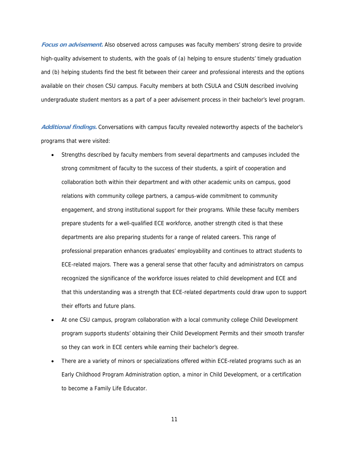**Focus on advisement.** Also observed across campuses was faculty members' strong desire to provide high-quality advisement to students, with the goals of (a) helping to ensure students' timely graduation and (b) helping students find the best fit between their career and professional interests and the options available on their chosen CSU campus. Faculty members at both CSULA and CSUN described involving undergraduate student mentors as a part of a peer advisement process in their bachelor's level program.

**Additional findings.** Conversations with campus faculty revealed noteworthy aspects of the bachelor's programs that were visited:

- Strengths described by faculty members from several departments and campuses included the strong commitment of faculty to the success of their students, a spirit of cooperation and collaboration both within their department and with other academic units on campus, good relations with community college partners, a campus-wide commitment to community engagement, and strong institutional support for their programs. While these faculty members prepare students for a well-qualified ECE workforce, another strength cited is that these departments are also preparing students for a range of related careers. This range of professional preparation enhances graduates' employability and continues to attract students to ECE-related majors. There was a general sense that other faculty and administrators on campus recognized the significance of the workforce issues related to child development and ECE and that this understanding was a strength that ECE-related departments could draw upon to support their efforts and future plans.
- At one CSU campus, program collaboration with a local community college Child Development program supports students' obtaining their Child Development Permits and their smooth transfer so they can work in ECE centers while earning their bachelor's degree.
- There are a variety of minors or specializations offered within ECE-related programs such as an Early Childhood Program Administration option, a minor in Child Development, or a certification to become a Family Life Educator.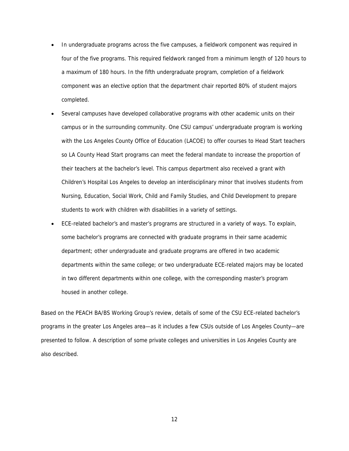- In undergraduate programs across the five campuses, a fieldwork component was required in four of the five programs. This required fieldwork ranged from a minimum length of 120 hours to a maximum of 180 hours. In the fifth undergraduate program, completion of a fieldwork component was an elective option that the department chair reported 80% of student majors completed.
- Several campuses have developed collaborative programs with other academic units on their campus or in the surrounding community. One CSU campus' undergraduate program is working with the Los Angeles County Office of Education (LACOE) to offer courses to Head Start teachers so LA County Head Start programs can meet the federal mandate to increase the proportion of their teachers at the bachelor's level. This campus department also received a grant with Children's Hospital Los Angeles to develop an interdisciplinary minor that involves students from Nursing, Education, Social Work, Child and Family Studies, and Child Development to prepare students to work with children with disabilities in a variety of settings.
- ECE-related bachelor's and master's programs are structured in a variety of ways. To explain, some bachelor's programs are connected with graduate programs in their same academic department; other undergraduate and graduate programs are offered in two academic departments within the same college; or two undergraduate ECE-related majors may be located in two different departments within one college, with the corresponding master's program housed in another college.

Based on the PEACH BA/BS Working Group's review, details of some of the CSU ECE-related bachelor's programs in the greater Los Angeles area—as it includes a few CSUs outside of Los Angeles County—are presented to follow. A description of some private colleges and universities in Los Angeles County are also described.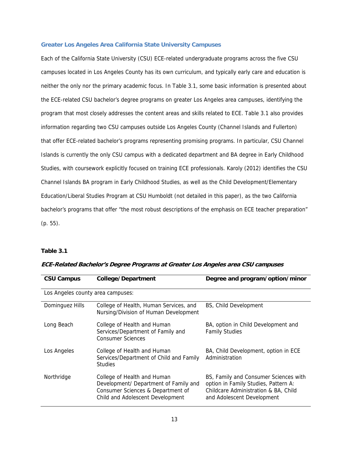#### **Greater Los Angeles Area California State University Campuses**

Each of the California State University (CSU) ECE-related undergraduate programs across the five CSU campuses located in Los Angeles County has its own curriculum, and typically early care and education is neither the only nor the primary academic focus. In Table 3.1, some basic information is presented about the ECE-related CSU bachelor's degree programs on greater Los Angeles area campuses, identifying the program that most closely addresses the content areas and skills related to ECE. Table 3.1 also provides information regarding two CSU campuses outside Los Angeles County (Channel Islands and Fullerton) that offer ECE-related bachelor's programs representing promising programs. In particular, CSU Channel Islands is currently the only CSU campus with a dedicated department and BA degree in Early Childhood Studies, with coursework explicitly focused on training ECE professionals. Karoly (2012) identifies the CSU Channel Islands BA program in Early Childhood Studies, as well as the Child Development/Elementary Education/Liberal Studies Program at CSU Humboldt (not detailed in this paper), as the two California bachelor's programs that offer "the most robust descriptions of the emphasis on ECE teacher preparation" (p. 55).

#### **Table 3.1**

| <b>CSU Campus</b>                 | College/Department                                                                                                                            | Degree and program/option/minor                                                                                                                     |  |
|-----------------------------------|-----------------------------------------------------------------------------------------------------------------------------------------------|-----------------------------------------------------------------------------------------------------------------------------------------------------|--|
| Los Angeles county area campuses: |                                                                                                                                               |                                                                                                                                                     |  |
| Dominguez Hills                   | College of Health, Human Services, and<br>Nursing/Division of Human Development                                                               | BS, Child Development                                                                                                                               |  |
| Long Beach                        | College of Health and Human<br>Services/Department of Family and<br><b>Consumer Sciences</b>                                                  | BA, option in Child Development and<br><b>Family Studies</b>                                                                                        |  |
| Los Angeles                       | College of Health and Human<br>Services/Department of Child and Family<br><b>Studies</b>                                                      | BA, Child Development, option in ECE<br>Administration                                                                                              |  |
| Northridge                        | College of Health and Human<br>Development/ Department of Family and<br>Consumer Sciences & Department of<br>Child and Adolescent Development | BS, Family and Consumer Sciences with<br>option in Family Studies, Pattern A:<br>Childcare Administration & BA, Child<br>and Adolescent Development |  |

**ECE-Related Bachelor's Degree Programs at Greater Los Angeles area CSU campuses**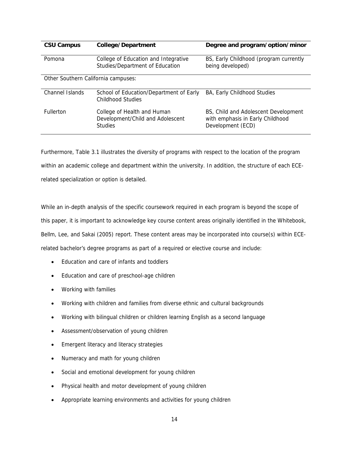| <b>CSU Campus</b>                   | College/Department                                                                | Degree and program/option/minor                                                               |  |
|-------------------------------------|-----------------------------------------------------------------------------------|-----------------------------------------------------------------------------------------------|--|
| Pomona                              | College of Education and Integrative<br>Studies/Department of Education           | BS, Early Childhood (program currently<br>being developed)                                    |  |
| Other Southern California campuses: |                                                                                   |                                                                                               |  |
| Channel Islands                     | School of Education/Department of Early<br>Childhood Studies                      | BA, Early Childhood Studies                                                                   |  |
| <b>Fullerton</b>                    | College of Health and Human<br>Development/Child and Adolescent<br><b>Studies</b> | BS, Child and Adolescent Development<br>with emphasis in Early Childhood<br>Development (ECD) |  |

Furthermore, Table 3.1 illustrates the diversity of programs with respect to the location of the program within an academic college and department within the university. In addition, the structure of each ECErelated specialization or option is detailed.

While an in-depth analysis of the specific coursework required in each program is beyond the scope of this paper, it is important to acknowledge key course content areas originally identified in the Whitebook, Bellm, Lee, and Sakai (2005) report. These content areas may be incorporated into course(s) within ECErelated bachelor's degree programs as part of a required or elective course and include:

- Education and care of infants and toddlers
- Education and care of preschool-age children
- Working with families
- Working with children and families from diverse ethnic and cultural backgrounds
- Working with bilingual children or children learning English as a second language
- Assessment/observation of young children
- **•** Emergent literacy and literacy strategies
- Numeracy and math for young children
- Social and emotional development for young children
- Physical health and motor development of young children
- Appropriate learning environments and activities for young children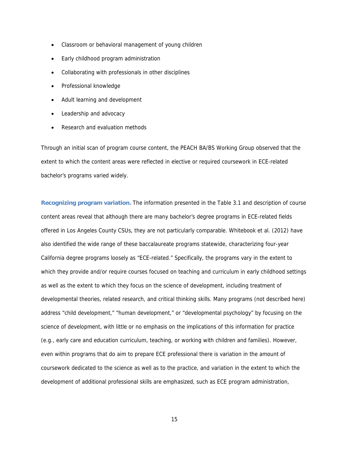- Classroom or behavioral management of young children
- Early childhood program administration
- Collaborating with professionals in other disciplines
- Professional knowledge
- Adult learning and development
- Leadership and advocacy
- Research and evaluation methods

Through an initial scan of program course content, the PEACH BA/BS Working Group observed that the extent to which the content areas were reflected in elective or required coursework in ECE-related bachelor's programs varied widely.

**Recognizing program variation.** The information presented in the Table 3.1 and description of course content areas reveal that although there are many bachelor's degree programs in ECE-related fields offered in Los Angeles County CSUs, they are not particularly comparable. Whitebook et al. (2012) have also identified the wide range of these baccalaureate programs statewide, characterizing four-year California degree programs loosely as "ECE-related." Specifically, the programs vary in the extent to which they provide and/or require courses focused on teaching and curriculum in early childhood settings as well as the extent to which they focus on the science of development, including treatment of developmental theories, related research, and critical thinking skills. Many programs (not described here) address "child development," "human development," or "developmental psychology" by focusing on the science of development, with little or no emphasis on the implications of this information for practice (e.g., early care and education curriculum, teaching, or working with children and families). However, even within programs that do aim to prepare ECE professional there is variation in the amount of coursework dedicated to the science as well as to the practice, and variation in the extent to which the development of additional professional skills are emphasized, such as ECE program administration,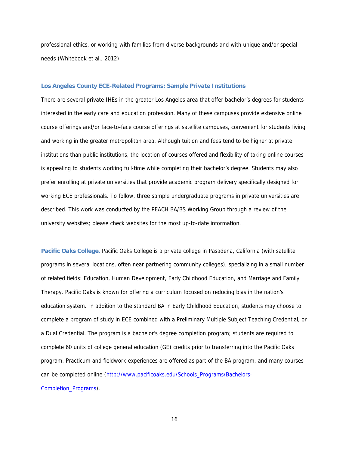professional ethics, or working with families from diverse backgrounds and with unique and/or special needs (Whitebook et al., 2012).

#### **Los Angeles County ECE-Related Programs: Sample Private Institutions**

There are several private IHEs in the greater Los Angeles area that offer bachelor's degrees for students interested in the early care and education profession. Many of these campuses provide extensive online course offerings and/or face-to-face course offerings at satellite campuses, convenient for students living and working in the greater metropolitan area. Although tuition and fees tend to be higher at private institutions than public institutions, the location of courses offered and flexibility of taking online courses is appealing to students working full-time while completing their bachelor's degree. Students may also prefer enrolling at private universities that provide academic program delivery specifically designed for working ECE professionals. To follow, three sample undergraduate programs in private universities are described. This work was conducted by the PEACH BA/BS Working Group through a review of the university websites; please check websites for the most up-to-date information.

**Pacific Oaks College.** Pacific Oaks College is a private college in Pasadena, California (with satellite programs in several locations, often near partnering community colleges), specializing in a small number of related fields: Education, Human Development, Early Childhood Education, and Marriage and Family Therapy. Pacific Oaks is known for offering a curriculum focused on reducing bias in the nation's education system. In addition to the standard BA in Early Childhood Education, students may choose to complete a program of study in ECE combined with a Preliminary Multiple Subject Teaching Credential, or a Dual Credential. The program is a bachelor's degree completion program; students are required to complete 60 units of college general education (GE) credits prior to transferring into the Pacific Oaks program. Practicum and fieldwork experiences are offered as part of the BA program, and many courses can be completed online (http://www.pacificoaks.edu/Schools\_Programs/Bachelors-Completion\_Programs).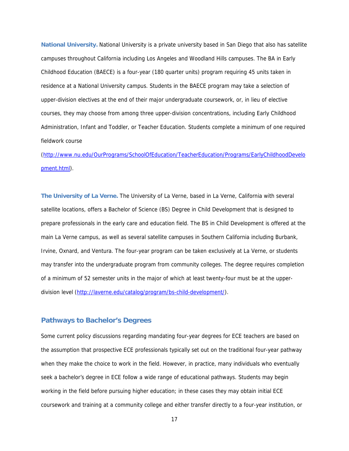**National University.** National University is a private university based in San Diego that also has satellite campuses throughout California including Los Angeles and Woodland Hills campuses. The BA in Early Childhood Education (BAECE) is a four-year (180 quarter units) program requiring 45 units taken in residence at a National University campus. Students in the BAECE program may take a selection of upper-division electives at the end of their major undergraduate coursework, or, in lieu of elective courses, they may choose from among three upper-division concentrations, including Early Childhood Administration, Infant and Toddler, or Teacher Education. Students complete a minimum of one required fieldwork course

(http://www.nu.edu/OurPrograms/SchoolOfEducation/TeacherEducation/Programs/EarlyChildhoodDevelo pment.html).

**The University of La Verne.** The University of La Verne, based in La Verne, California with several satellite locations, offers a Bachelor of Science (BS) Degree in Child Development that is designed to prepare professionals in the early care and education field. The BS in Child Development is offered at the main La Verne campus, as well as several satellite campuses in Southern California including Burbank, Irvine, Oxnard, and Ventura. The four-year program can be taken exclusively at La Verne, or students may transfer into the undergraduate program from community colleges. The degree requires completion of a minimum of 52 semester units in the major of which at least twenty-four must be at the upperdivision level (http://laverne.edu/catalog/program/bs-child-development/).

### **Pathways to Bachelor's Degrees**

Some current policy discussions regarding mandating four-year degrees for ECE teachers are based on the assumption that prospective ECE professionals typically set out on the traditional four-year pathway when they make the choice to work in the field. However, in practice, many individuals who eventually seek a bachelor's degree in ECE follow a wide range of educational pathways. Students may begin working in the field before pursuing higher education; in these cases they may obtain initial ECE coursework and training at a community college and either transfer directly to a four-year institution, or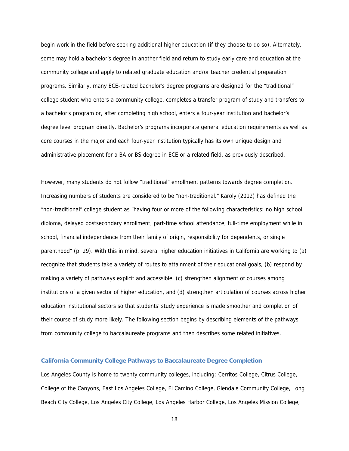begin work in the field before seeking additional higher education (if they choose to do so). Alternately, some may hold a bachelor's degree in another field and return to study early care and education at the community college and apply to related graduate education and/or teacher credential preparation programs. Similarly, many ECE-related bachelor's degree programs are designed for the "traditional" college student who enters a community college, completes a transfer program of study and transfers to a bachelor's program or, after completing high school, enters a four-year institution and bachelor's degree level program directly. Bachelor's programs incorporate general education requirements as well as core courses in the major and each four-year institution typically has its own unique design and administrative placement for a BA or BS degree in ECE or a related field, as previously described.

However, many students do not follow "traditional" enrollment patterns towards degree completion. Increasing numbers of students are considered to be "non-traditional." Karoly (2012) has defined the "non-traditional" college student as "having four or more of the following characteristics: no high school diploma, delayed postsecondary enrollment, part-time school attendance, full-time employment while in school, financial independence from their family of origin, responsibility for dependents, or single parenthood" (p. 29). With this in mind, several higher education initiatives in California are working to (a) recognize that students take a variety of routes to attainment of their educational goals, (b) respond by making a variety of pathways explicit and accessible, (c) strengthen alignment of courses among institutions of a given sector of higher education, and (d) strengthen articulation of courses across higher education institutional sectors so that students' study experience is made smoother and completion of their course of study more likely. The following section begins by describing elements of the pathways from community college to baccalaureate programs and then describes some related initiatives.

#### **California Community College Pathways to Baccalaureate Degree Completion**

Los Angeles County is home to twenty community colleges, including: Cerritos College, Citrus College, College of the Canyons, East Los Angeles College, El Camino College, Glendale Community College, Long Beach City College, Los Angeles City College, Los Angeles Harbor College, Los Angeles Mission College,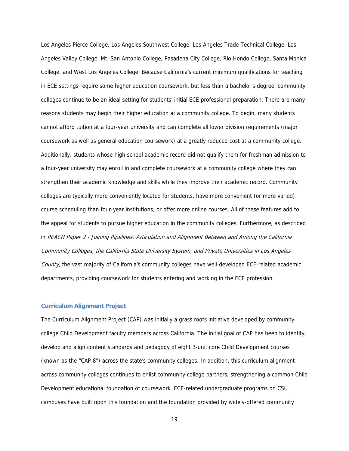Los Angeles Pierce College, Los Angeles Southwest College, Los Angeles Trade Technical College, Los Angeles Valley College, Mt. San Antonio College, Pasadena City College, Rio Hondo College, Santa Monica College, and West Los Angeles College. Because California's current minimum qualifications for teaching in ECE settings require some higher education coursework, but less than a bachelor's degree, community colleges continue to be an ideal setting for students' initial ECE professional preparation. There are many reasons students may begin their higher education at a community college. To begin, many students cannot afford tuition at a four-year university and can complete all lower division requirements (major coursework as well as general education coursework) at a greatly reduced cost at a community college. Additionally, students whose high school academic record did not qualify them for freshman admission to a four-year university may enroll in and complete coursework at a community college where they can strengthen their academic knowledge and skills while they improve their academic record. Community colleges are typically more conveniently located for students, have more convenient (or more varied) course scheduling than four-year institutions, or offer more online courses. All of these features add to the appeal for students to pursue higher education in the community colleges. Furthermore, as described in PEACH Paper 2 - Joining Pipelines: Articulation and Alignment Between and Among the California Community Colleges, the California State University System, and Private Universities in Los Angeles County, the vast majority of California's community colleges have well-developed ECE-related academic departments, providing coursework for students entering and working in the ECE profession.

#### **Curriculum Alignment Project**

The Curriculum Alignment Project (CAP) was initially a grass roots initiative developed by community college Child Development faculty members across California. The initial goal of CAP has been to identify, develop and align content standards and pedagogy of eight 3-unit core Child Development courses (known as the "CAP 8") across the state's community colleges. In addition, this curriculum alignment across community colleges continues to enlist community college partners, strengthening a common Child Development educational foundation of coursework. ECE-related undergraduate programs on CSU campuses have built upon this foundation and the foundation provided by widely-offered community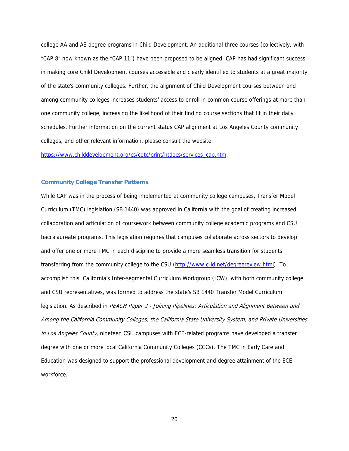college AA and AS degree programs in Child Development. An additional three courses (collectively, with "CAP 8" now known as the "CAP 11") have been proposed to be aligned. CAP has had significant success in making core Child Development courses accessible and clearly identified to students at a great majority of the state's community colleges. Further, the alignment of Child Development courses between and among community colleges increases students' access to enroll in common course offerings at more than one community college, increasing the likelihood of their finding course sections that fit in their daily schedules. Further information on the current status CAP alignment at Los Angeles County community colleges, and other relevant information, please consult the website:

https://www.childdevelopment.org/cs/cdtc/print/htdocs/services\_cap.htm.

#### **Community College Transfer Patterns**

While CAP was in the process of being implemented at community college campuses, Transfer Model Curriculum (TMC) legislation (SB 1440) was approved in California with the goal of creating increased collaboration and articulation of coursework between community college academic programs and CSU baccalaureate programs. This legislation requires that campuses collaborate across sectors to develop and offer one or more TMC in each discipline to provide a more seamless transition for students transferring from the community college to the CSU (http://www.c-id.net/degreereview.html). To accomplish this, California's Inter-segmental Curriculum Workgroup (ICW), with both community college and CSU representatives, was formed to address the state's SB 1440 Transfer Model Curriculum legislation. As described in PEACH Paper 2 - Joining Pipelines: Articulation and Alignment Between and Among the California Community Colleges, the California State University System, and Private Universities in Los Angeles County, nineteen CSU campuses with ECE-related programs have developed a transfer degree with one or more local California Community Colleges (CCCs). The TMC in Early Care and Education was designed to support the professional development and degree attainment of the ECE workforce.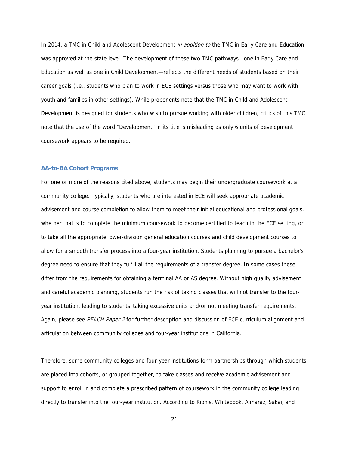In 2014, a TMC in Child and Adolescent Development in addition to the TMC in Early Care and Education was approved at the state level. The development of these two TMC pathways—one in Early Care and Education as well as one in Child Development—reflects the different needs of students based on their career goals (i.e., students who plan to work in ECE settings versus those who may want to work with youth and families in other settings). While proponents note that the TMC in Child and Adolescent Development is designed for students who wish to pursue working with older children, critics of this TMC note that the use of the word "Development" in its title is misleading as only 6 units of development coursework appears to be required.

#### **AA-to-BA Cohort Programs**

For one or more of the reasons cited above, students may begin their undergraduate coursework at a community college. Typically, students who are interested in ECE will seek appropriate academic advisement and course completion to allow them to meet their initial educational and professional goals, whether that is to complete the minimum coursework to become certified to teach in the ECE setting, or to take all the appropriate lower-division general education courses and child development courses to allow for a smooth transfer process into a four-year institution. Students planning to pursue a bachelor's degree need to ensure that they fulfill all the requirements of a transfer degree, In some cases these differ from the requirements for obtaining a terminal AA or AS degree. Without high quality advisement and careful academic planning, students run the risk of taking classes that will not transfer to the fouryear institution, leading to students' taking excessive units and/or not meeting transfer requirements. Again, please see PEACH Paper 2 for further description and discussion of ECE curriculum alignment and articulation between community colleges and four-year institutions in California.

Therefore, some community colleges and four-year institutions form partnerships through which students are placed into cohorts, or grouped together, to take classes and receive academic advisement and support to enroll in and complete a prescribed pattern of coursework in the community college leading directly to transfer into the four-year institution. According to Kipnis, Whitebook, Almaraz, Sakai, and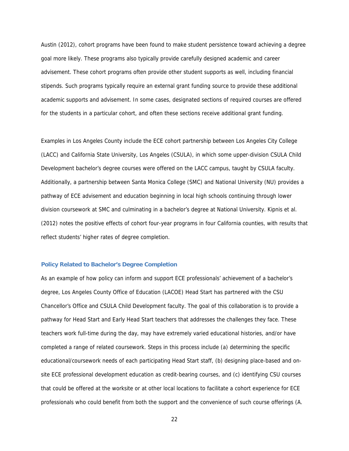Austin (2012), cohort programs have been found to make student persistence toward achieving a degree goal more likely. These programs also typically provide carefully designed academic and career advisement. These cohort programs often provide other student supports as well, including financial stipends. Such programs typically require an external grant funding source to provide these additional academic supports and advisement. In some cases, designated sections of required courses are offered for the students in a particular cohort, and often these sections receive additional grant funding.

Examples in Los Angeles County include the ECE cohort partnership between Los Angeles City College (LACC) and California State University, Los Angeles (CSULA), in which some upper-division CSULA Child Development bachelor's degree courses were offered on the LACC campus, taught by CSULA faculty. Additionally, a partnership between Santa Monica College (SMC) and National University (NU) provides a pathway of ECE advisement and education beginning in local high schools continuing through lower division coursework at SMC and culminating in a bachelor's degree at National University. Kipnis et al. (2012) notes the positive effects of cohort four-year programs in four California counties, with results that reflect students' higher rates of degree completion.

#### **Policy Related to Bachelor's Degree Completion**

As an example of how policy can inform and support ECE professionals' achievement of a bachelor's degree, Los Angeles County Office of Education (LACOE) Head Start has partnered with the CSU Chancellor's Office and CSULA Child Development faculty. The goal of this collaboration is to provide a pathway for Head Start and Early Head Start teachers that addresses the challenges they face. These teachers work full-time during the day, may have extremely varied educational histories, and/or have completed a range of related coursework. Steps in this process include (a) determining the specific educational/coursework needs of each participating Head Start staff, (b) designing place-based and onsite ECE professional development education as credit-bearing courses, and (c) identifying CSU courses that could be offered at the worksite or at other local locations to facilitate a cohort experience for ECE professionals who could benefit from both the support and the convenience of such course offerings (A.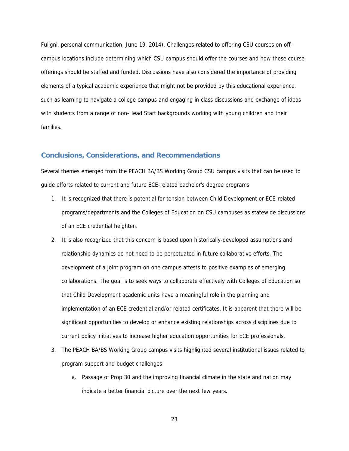Fuligni, personal communication, June 19, 2014). Challenges related to offering CSU courses on offcampus locations include determining which CSU campus should offer the courses and how these course offerings should be staffed and funded. Discussions have also considered the importance of providing elements of a typical academic experience that might not be provided by this educational experience, such as learning to navigate a college campus and engaging in class discussions and exchange of ideas with students from a range of non-Head Start backgrounds working with young children and their families.

#### **Conclusions, Considerations, and Recommendations**

Several themes emerged from the PEACH BA/BS Working Group CSU campus visits that can be used to guide efforts related to current and future ECE-related bachelor's degree programs:

- 1. It is recognized that there is potential for tension between Child Development or ECE-related programs/departments and the Colleges of Education on CSU campuses as statewide discussions of an ECE credential heighten.
- 2. It is also recognized that this concern is based upon historically-developed assumptions and relationship dynamics do not need to be perpetuated in future collaborative efforts. The development of a joint program on one campus attests to positive examples of emerging collaborations. The goal is to seek ways to collaborate effectively with Colleges of Education so that Child Development academic units have a meaningful role in the planning and implementation of an ECE credential and/or related certificates. It is apparent that there will be significant opportunities to develop or enhance existing relationships across disciplines due to current policy initiatives to increase higher education opportunities for ECE professionals.
- 3. The PEACH BA/BS Working Group campus visits highlighted several institutional issues related to program support and budget challenges:
	- a. Passage of Prop 30 and the improving financial climate in the state and nation may indicate a better financial picture over the next few years.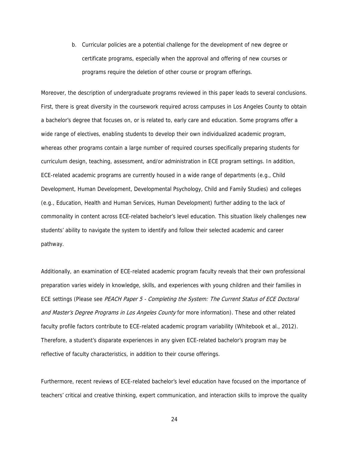b. Curricular policies are a potential challenge for the development of new degree or certificate programs, especially when the approval and offering of new courses or programs require the deletion of other course or program offerings.

Moreover, the description of undergraduate programs reviewed in this paper leads to several conclusions. First, there is great diversity in the coursework required across campuses in Los Angeles County to obtain a bachelor's degree that focuses on, or is related to, early care and education. Some programs offer a wide range of electives, enabling students to develop their own individualized academic program, whereas other programs contain a large number of required courses specifically preparing students for curriculum design, teaching, assessment, and/or administration in ECE program settings. In addition, ECE-related academic programs are currently housed in a wide range of departments (e.g., Child Development, Human Development, Developmental Psychology, Child and Family Studies) and colleges (e.g., Education, Health and Human Services, Human Development) further adding to the lack of commonality in content across ECE-related bachelor's level education. This situation likely challenges new students' ability to navigate the system to identify and follow their selected academic and career pathway.

Additionally, an examination of ECE-related academic program faculty reveals that their own professional preparation varies widely in knowledge, skills, and experiences with young children and their families in ECE settings (Please see PEACH Paper 5 - Completing the System: The Current Status of ECE Doctoral and Master's Degree Programs in Los Angeles County for more information). These and other related faculty profile factors contribute to ECE-related academic program variability (Whitebook et al., 2012). Therefore, a student's disparate experiences in any given ECE-related bachelor's program may be reflective of faculty characteristics, in addition to their course offerings.

Furthermore, recent reviews of ECE-related bachelor's level education have focused on the importance of teachers' critical and creative thinking, expert communication, and interaction skills to improve the quality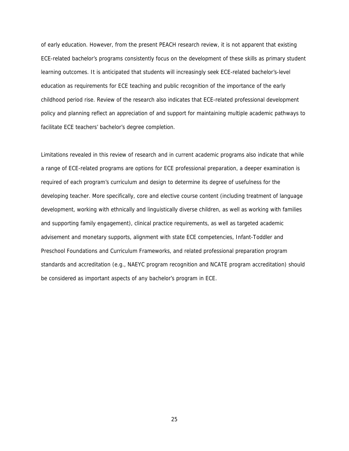of early education. However, from the present PEACH research review, it is not apparent that existing ECE-related bachelor's programs consistently focus on the development of these skills as primary student learning outcomes. It is anticipated that students will increasingly seek ECE-related bachelor's-level education as requirements for ECE teaching and public recognition of the importance of the early childhood period rise. Review of the research also indicates that ECE-related professional development policy and planning reflect an appreciation of and support for maintaining multiple academic pathways to facilitate ECE teachers' bachelor's degree completion.

Limitations revealed in this review of research and in current academic programs also indicate that while a range of ECE-related programs are options for ECE professional preparation, a deeper examination is required of each program's curriculum and design to determine its degree of usefulness for the developing teacher. More specifically, core and elective course content (including treatment of language development, working with ethnically and linguistically diverse children, as well as working with families and supporting family engagement), clinical practice requirements, as well as targeted academic advisement and monetary supports, alignment with state ECE competencies, Infant-Toddler and Preschool Foundations and Curriculum Frameworks, and related professional preparation program standards and accreditation (e.g., NAEYC program recognition and NCATE program accreditation) should be considered as important aspects of any bachelor's program in ECE.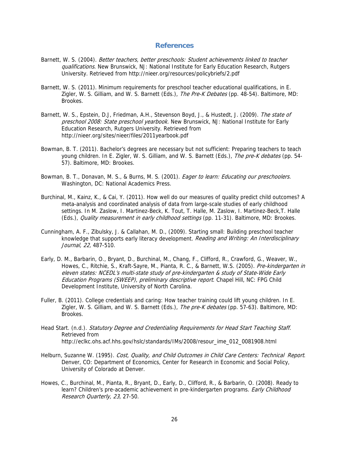#### **References**

- Barnett, W. S. (2004). Better teachers, better preschools: Student achievements linked to teacher qualifications. New Brunswick, NJ: National Institute for Early Education Research, Rutgers University. Retrieved from http://nieer.org/resources/policybriefs/2.pdf
- Barnett, W. S. (2011). Minimum requirements for preschool teacher educational qualifications, in E. Zigler, W. S. Gilliam, and W. S. Barnett (Eds.), The Pre-K Debates (pp. 48-54). Baltimore, MD: Brookes.
- Barnett, W. S., Epstein, D.J, Friedman, A.H., Stevenson Boyd, J., & Hustedt, J. (2009). The state of preschool 2008: State preschool yearbook. New Brunswick, NJ: National Institute for Early Education Research, Rutgers University. Retrieved from http://nieer.org/sites/nieer/files/2011yearbook.pdf
- Bowman, B. T. (2011). Bachelor's degrees are necessary but not sufficient: Preparing teachers to teach young children. In E. Zigler, W. S. Gilliam, and W. S. Barnett (Eds.), The pre-K debates (pp. 54-57). Baltimore, MD: Brookes.
- Bowman, B. T., Donavan, M. S., & Burns, M. S. (2001). Eager to learn: Educating our preschoolers. Washington, DC: National Academics Press.
- Burchinal, M., Kainz, K., & Cai, Y. (2011). How well do our measures of quality predict child outcomes? A meta-analysis and coordinated analysis of data from large-scale studies of early childhood settings. In M. Zaslow, I. Martinez-Beck, K. Tout, T. Halle, M. Zaslow, I. Martinez-Beck,T. Halle (Eds.), Quality measurement in early childhood settings (pp. 11-31). Baltimore, MD: Brookes.
- Cunningham, A. F., Zibulsky, J. & Callahan, M. D., (2009). Starting small: Building preschool teacher knowledge that supports early literacy development. Reading and Writing: An Interdisciplinary Journal, 22, 487-510.
- Early, D. M., Barbarin, O., Bryant, D., Burchinal, M., Chang, F., Clifford, R., Crawford, G., Weaver, W., Howes, C., Ritchie, S., Kraft-Sayre, M., Pianta, R. C., & Barnett, W.S. (2005). Pre-kindergarten in eleven states: NCEDL's multi-state study of pre-kindergarten & study of State-Wide Early Education Programs (SWEEP), preliminary descriptive report. Chapel Hill, NC: FPG Child Development Institute, University of North Carolina.
- Fuller, B. (2011). College credentials and caring: How teacher training could lift young children. In E. Zigler, W. S. Gilliam, and W. S. Barnett (Eds.), The pre-K debates (pp. 57-63). Baltimore, MD: Brookes.
- Head Start. (n.d.). Statutory Degree and Credentialing Requirements for Head Start Teaching Staff. Retrieved from http://eclkc.ohs.acf.hhs.gov/hslc/standards/IMs/2008/resour\_ime\_012\_0081908.html
- Helburn, Suzanne W. (1995). Cost, Quality, and Child Outcomes in Child Care Centers: Technical Report. Denver, CO: Department of Economics, Center for Research in Economic and Social Policy, University of Colorado at Denver.
- Howes, C., Burchinal, M., Pianta, R., Bryant, D., Early, D., Clifford, R., & Barbarin, O. (2008). Ready to learn? Children's pre-academic achievement in pre-kindergarten programs. *Early Childhood* Research Quarterly, 23, 27-50.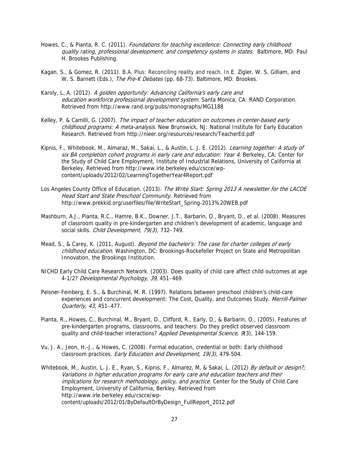- Howes, C., & Pianta, R. C. (2011). Foundations for teaching excellence: Connecting early childhood quality rating, professional development, and competency systems in states. Baltimore, MD: Paul H. Brookes Publishing.
- Kagan, S., & Gomez, R. (2011). B.A. Plus: Reconciling reality and reach. In E. Zigler, W. S. Gilliam, and W. S. Barnett (Eds.), The Pre-K Debates (pp. 68-73). Baltimore, MD: Brookes.
- Karoly, L. A. (2012). A golden opportunity: Advancing California's early care and education workforce professional development system. Santa Monica, CA: RAND Corporation. Retrieved from http://www.rand.org/pubs/monographs/MG1188
- Kelley, P. & Camilli, G. (2007). The impact of teacher education on outcomes in center-based early childhood programs: A meta-analysis. New Brunswick, NJ: National Institute for Early Education Research. Retrieved from http://nieer.org/resources/research/TeacherEd.pdf
- Kipnis, F., Whitebook, M., Almaraz, M., Sakai, L., & Austin, L. J. E. (2012). Learning together: A study of six BA completion cohort programs in early care and education: Year 4. Berkeley, CA: Center for the Study of Child Care Employment, Institute of Industrial Relations, University of California at Berkeley. Retrieved from http://www.irle.berkeley.edu/cscce/wpcontent/uploads/2012/02/LearningTogetherYear4Report.pdf
- Los Angeles County Office of Education. (2013). The Write Start: Spring 2013 A newsletter for the LACOE Head Start and State Preschool Community. Retrieved from http://www.prekkid.org/userfiles/file/WriteStart\_Spring-2013%20WEB.pdf
- Mashburn, A.J., Pianta, R.C., Hamre, B.K., Downer, J.T., Barbarin, O., Bryant, D., et al. (2008). Measures of classroom quality in pre-kindergarten and children's development of academic, language and social skills. Child Development, 79(3), 732–749.
- Mead, S., & Carey, K. (2011, August). Beyond the bachelor's: The case for charter colleges of early childhood education. Washington, DC: Brookings-Rockefeller Project on State and Metropolitan Innovation, the Brookings Institution.
- NICHD Early Child Care Research Network. (2003). Does quality of child care affect child outcomes at age 4-1/2? Developmental Psychology, 39, 451–469.
- Peisner-Feinberg, E. S., & Burchinal, M. R. (1997). Relations between preschool children's child-care experiences and concurrent development: The Cost, Quality, and Outcomes Study. Merrill-Palmer Quarterly, 43, 451–477.
- Pianta, R., Howes, C., Burchinal, M., Bryant, D., Clifford, R., Early, D., & Barbarin, O., (2005). Features of pre-kindergarten programs, classrooms, and teachers: Do they predict observed classroom quality and child-teacher interactions? Applied Developmental Science, 9(3), 144-159.
- Vu, J. A., Jeon, H.-J., & Howes, C. (2008). Formal education, credential or both: Early childhood classroom practices. Early Education and Development, 19(3), 479-504.
- Whitebook, M., Austin, L. J. E., Ryan, S., Kipnis, F., Almarez, M, & Sakai, L. (2012) By default or design?; Variations in higher education programs for early care and education teachers and their implications for research methodology, policy, and practice. Center for the Study of Child Care Employment, University of California, Berkley. Retrieved from http://www.irle.berkeley.edu/cscce/wpcontent/uploads/2012/01/ByDefaultOrByDesign\_FullReport\_2012.pdf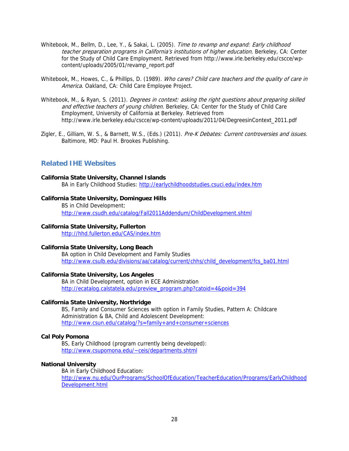- Whitebook, M., Bellm, D., Lee, Y., & Sakai, L. (2005). Time to revamp and expand: Early childhood teacher preparation programs in California's institutions of higher education. Berkeley, CA: Center for the Study of Child Care Employment. Retrieved from http://www.irle.berkeley.edu/cscce/wpcontent/uploads/2005/01/revamp\_report.pdf
- Whitebook, M., Howes, C., & Phillips, D. (1989). Who cares? Child care teachers and the quality of care in America. Oakland, CA: Child Care Employee Project.
- Whitebook, M., & Ryan, S. (2011). Degrees in context: asking the right questions about preparing skilled and effective teachers of young children. Berkeley, CA: Center for the Study of Child Care Employment, University of California at Berkeley. Retrieved from http://www.irle.berkeley.edu/cscce/wp-content/uploads/2011/04/DegreesinContext\_2011.pdf
- Zigler, E., Gilliam, W. S., & Barnett, W.S., (Eds.) (2011). Pre-K Debates: Current controversies and issues. Baltimore, MD: Paul H. Brookes Publishing.

# **Related IHE Websites**

#### **California State University, Channel Islands**

BA in Early Childhood Studies: http://earlychildhoodstudies.csuci.edu/index.htm

#### **California State University, Dominguez Hills**

BS in Child Development: http://www.csudh.edu/catalog/Fall2011Addendum/ChildDevelopment.shtml

#### **California State University, Fullerton**

http://hhd.fullerton.edu/CAS/index.htm

#### **California State University, Long Beach**

BA option in Child Development and Family Studies http://www.csulb.edu/divisions/aa/catalog/current/chhs/child\_development/fcs\_ba01.html

#### **California State University, Los Angeles**

BA in Child Development, option in ECE Administration http://ecatalog.calstatela.edu/preview\_program.php?catoid=4&poid=394

#### **California State University, Northridge**

BS, Family and Consumer Sciences with option in Family Studies, Pattern A: Childcare Administration & BA, Child and Adolescent Development: http://www.csun.edu/catalog/?s=family+and+consumer+sciences

#### **Cal Poly Pomona**

BS, Early Childhood (program currently being developed): http://www.csupomona.edu/~ceis/departments.shtml

#### **National University**

BA in Early Childhood Education: http://www.nu.edu/OurPrograms/SchoolOfEducation/TeacherEducation/Programs/EarlyChildhood Development.html